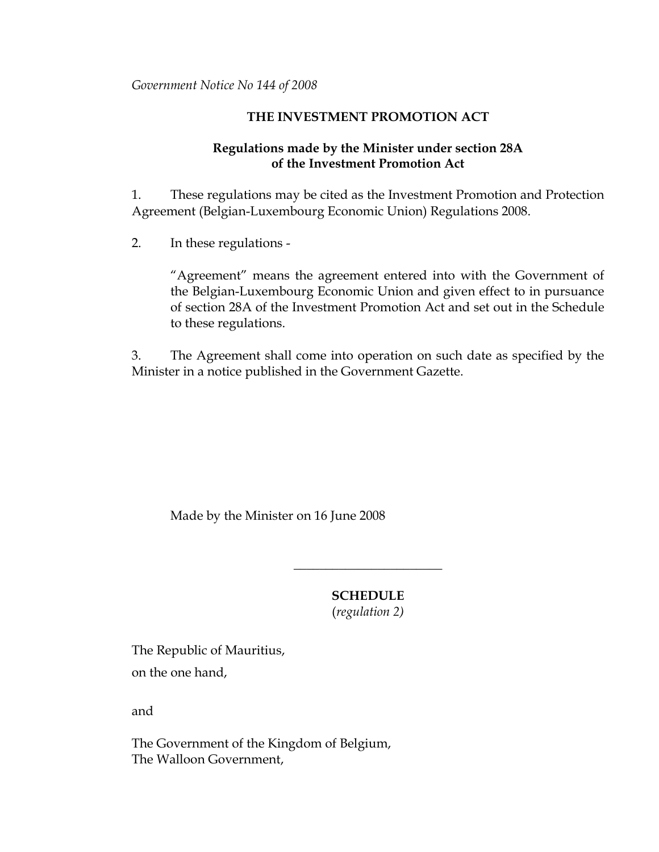# **THE INVESTMENT PROMOTION ACT**

# **Regulations made by the Minister under section 28A of the Investment Promotion Act**

1. These regulations may be cited as the Investment Promotion and Protection Agreement (Belgian-Luxembourg Economic Union) Regulations 2008.

2. In these regulations -

"Agreement" means the agreement entered into with the Government of the Belgian-Luxembourg Economic Union and given effect to in pursuance of section 28A of the Investment Promotion Act and set out in the Schedule to these regulations.

3. The Agreement shall come into operation on such date as specified by the Minister in a notice published in the Government Gazette.

Made by the Minister on 16 June 2008

# **SCHEDULE**  (*regulation 2)*

 $\overline{\phantom{a}}$  , where  $\overline{\phantom{a}}$  , where  $\overline{\phantom{a}}$  , where  $\overline{\phantom{a}}$ 

The Republic of Mauritius, on the one hand,

and

The Government of the Kingdom of Belgium, The Walloon Government,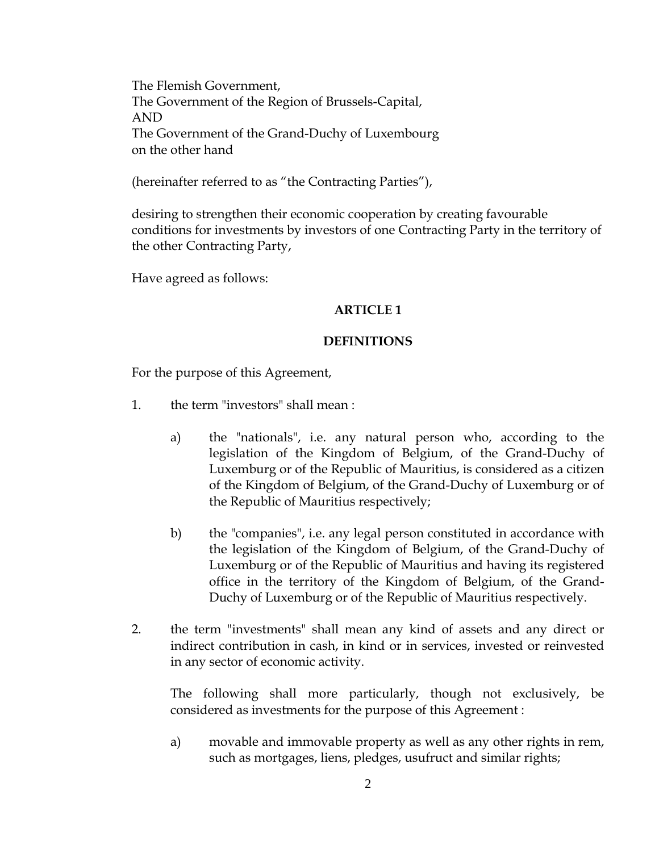The Flemish Government, The Government of the Region of Brussels-Capital, AND The Government of the Grand-Duchy of Luxembourg on the other hand

(hereinafter referred to as "the Contracting Parties"),

desiring to strengthen their economic cooperation by creating favourable conditions for investments by investors of one Contracting Party in the territory of the other Contracting Party,

Have agreed as follows:

## **ARTICLE 1**

## **DEFINITIONS**

For the purpose of this Agreement,

- 1. the term "investors" shall mean :
	- a) the "nationals", i.e. any natural person who, according to the legislation of the Kingdom of Belgium, of the Grand-Duchy of Luxemburg or of the Republic of Mauritius, is considered as a citizen of the Kingdom of Belgium, of the Grand-Duchy of Luxemburg or of the Republic of Mauritius respectively;
	- b) the "companies", i.e. any legal person constituted in accordance with the legislation of the Kingdom of Belgium, of the Grand-Duchy of Luxemburg or of the Republic of Mauritius and having its registered office in the territory of the Kingdom of Belgium, of the Grand-Duchy of Luxemburg or of the Republic of Mauritius respectively.
- 2. the term "investments" shall mean any kind of assets and any direct or indirect contribution in cash, in kind or in services, invested or reinvested in any sector of economic activity.

 The following shall more particularly, though not exclusively, be considered as investments for the purpose of this Agreement :

a) movable and immovable property as well as any other rights in rem, such as mortgages, liens, pledges, usufruct and similar rights;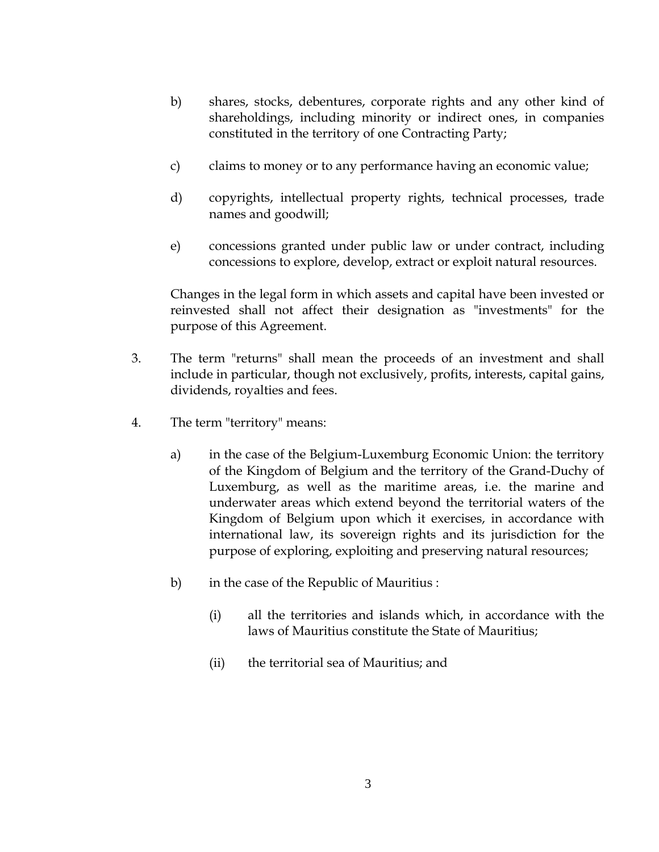- b) shares, stocks, debentures, corporate rights and any other kind of shareholdings, including minority or indirect ones, in companies constituted in the territory of one Contracting Party;
- c) claims to money or to any performance having an economic value;
- d) copyrights, intellectual property rights, technical processes, trade names and goodwill;
- e) concessions granted under public law or under contract, including concessions to explore, develop, extract or exploit natural resources.

 Changes in the legal form in which assets and capital have been invested or reinvested shall not affect their designation as "investments" for the purpose of this Agreement.

- 3. The term "returns" shall mean the proceeds of an investment and shall include in particular, though not exclusively, profits, interests, capital gains, dividends, royalties and fees.
- 4. The term "territory" means:
	- a) in the case of the Belgium-Luxemburg Economic Union: the territory of the Kingdom of Belgium and the territory of the Grand-Duchy of Luxemburg, as well as the maritime areas, i.e. the marine and underwater areas which extend beyond the territorial waters of the Kingdom of Belgium upon which it exercises, in accordance with international law, its sovereign rights and its jurisdiction for the purpose of exploring, exploiting and preserving natural resources;
	- b) in the case of the Republic of Mauritius :
		- (i) all the territories and islands which, in accordance with the laws of Mauritius constitute the State of Mauritius;
		- (ii) the territorial sea of Mauritius; and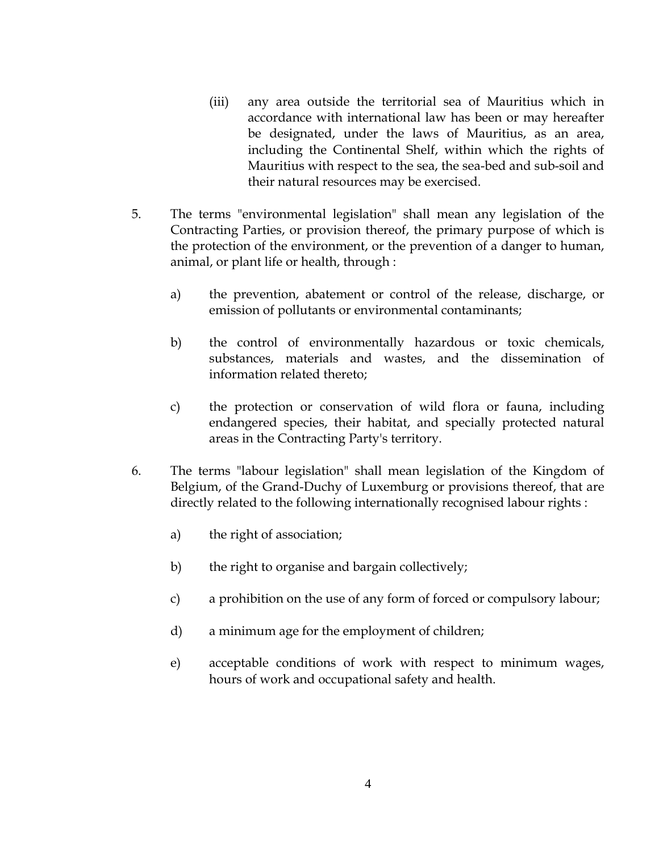- (iii) any area outside the territorial sea of Mauritius which in accordance with international law has been or may hereafter be designated, under the laws of Mauritius, as an area, including the Continental Shelf, within which the rights of Mauritius with respect to the sea, the sea-bed and sub-soil and their natural resources may be exercised.
- 5. The terms "environmental legislation" shall mean any legislation of the Contracting Parties, or provision thereof, the primary purpose of which is the protection of the environment, or the prevention of a danger to human, animal, or plant life or health, through :
	- a) the prevention, abatement or control of the release, discharge, or emission of pollutants or environmental contaminants;
	- b) the control of environmentally hazardous or toxic chemicals, substances, materials and wastes, and the dissemination of information related thereto;
	- c) the protection or conservation of wild flora or fauna, including endangered species, their habitat, and specially protected natural areas in the Contracting Party's territory.
- 6. The terms "labour legislation" shall mean legislation of the Kingdom of Belgium, of the Grand-Duchy of Luxemburg or provisions thereof, that are directly related to the following internationally recognised labour rights :
	- a) the right of association;
	- b) the right to organise and bargain collectively;
	- c) a prohibition on the use of any form of forced or compulsory labour;
	- d) a minimum age for the employment of children;
	- e) acceptable conditions of work with respect to minimum wages, hours of work and occupational safety and health.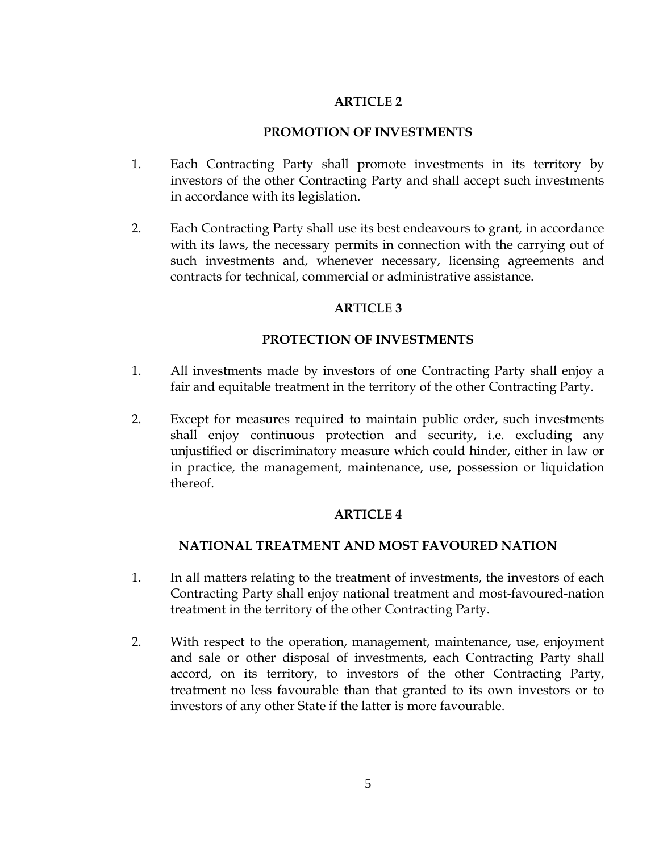## **PROMOTION OF INVESTMENTS**

- 1. Each Contracting Party shall promote investments in its territory by investors of the other Contracting Party and shall accept such investments in accordance with its legislation.
- 2. Each Contracting Party shall use its best endeavours to grant, in accordance with its laws, the necessary permits in connection with the carrying out of such investments and, whenever necessary, licensing agreements and contracts for technical, commercial or administrative assistance.

## **ARTICLE 3**

## **PROTECTION OF INVESTMENTS**

- 1. All investments made by investors of one Contracting Party shall enjoy a fair and equitable treatment in the territory of the other Contracting Party.
- 2. Except for measures required to maintain public order, such investments shall enjoy continuous protection and security, i.e. excluding any unjustified or discriminatory measure which could hinder, either in law or in practice, the management, maintenance, use, possession or liquidation thereof.

## **ARTICLE 4**

## **NATIONAL TREATMENT AND MOST FAVOURED NATION**

- 1. In all matters relating to the treatment of investments, the investors of each Contracting Party shall enjoy national treatment and most-favoured-nation treatment in the territory of the other Contracting Party.
- 2. With respect to the operation, management, maintenance, use, enjoyment and sale or other disposal of investments, each Contracting Party shall accord, on its territory, to investors of the other Contracting Party, treatment no less favourable than that granted to its own investors or to investors of any other State if the latter is more favourable.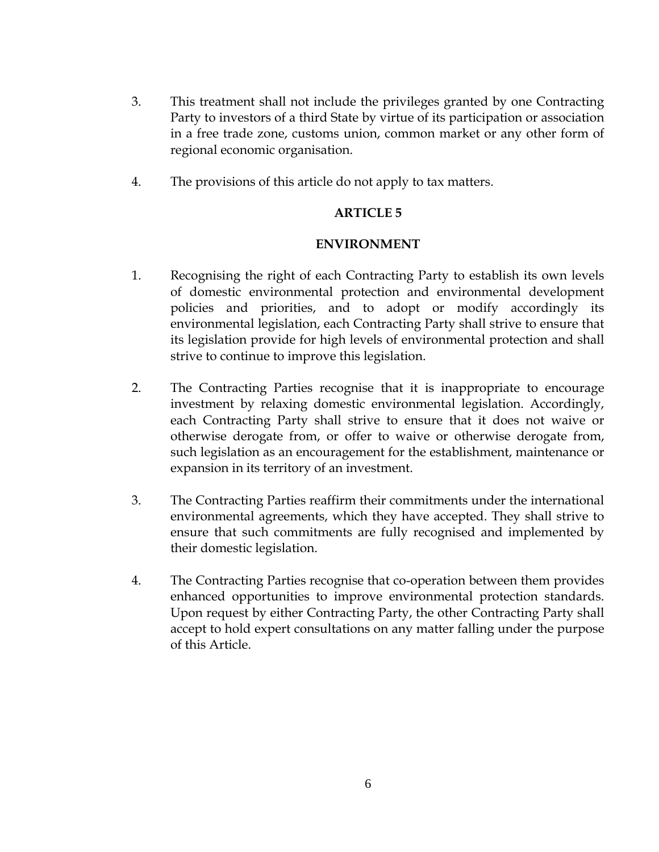- 3. This treatment shall not include the privileges granted by one Contracting Party to investors of a third State by virtue of its participation or association in a free trade zone, customs union, common market or any other form of regional economic organisation.
- 4. The provisions of this article do not apply to tax matters.

#### **ENVIRONMENT**

- 1. Recognising the right of each Contracting Party to establish its own levels of domestic environmental protection and environmental development policies and priorities, and to adopt or modify accordingly its environmental legislation, each Contracting Party shall strive to ensure that its legislation provide for high levels of environmental protection and shall strive to continue to improve this legislation.
- 2. The Contracting Parties recognise that it is inappropriate to encourage investment by relaxing domestic environmental legislation. Accordingly, each Contracting Party shall strive to ensure that it does not waive or otherwise derogate from, or offer to waive or otherwise derogate from, such legislation as an encouragement for the establishment, maintenance or expansion in its territory of an investment.
- 3. The Contracting Parties reaffirm their commitments under the international environmental agreements, which they have accepted. They shall strive to ensure that such commitments are fully recognised and implemented by their domestic legislation.
- 4. The Contracting Parties recognise that co-operation between them provides enhanced opportunities to improve environmental protection standards. Upon request by either Contracting Party, the other Contracting Party shall accept to hold expert consultations on any matter falling under the purpose of this Article.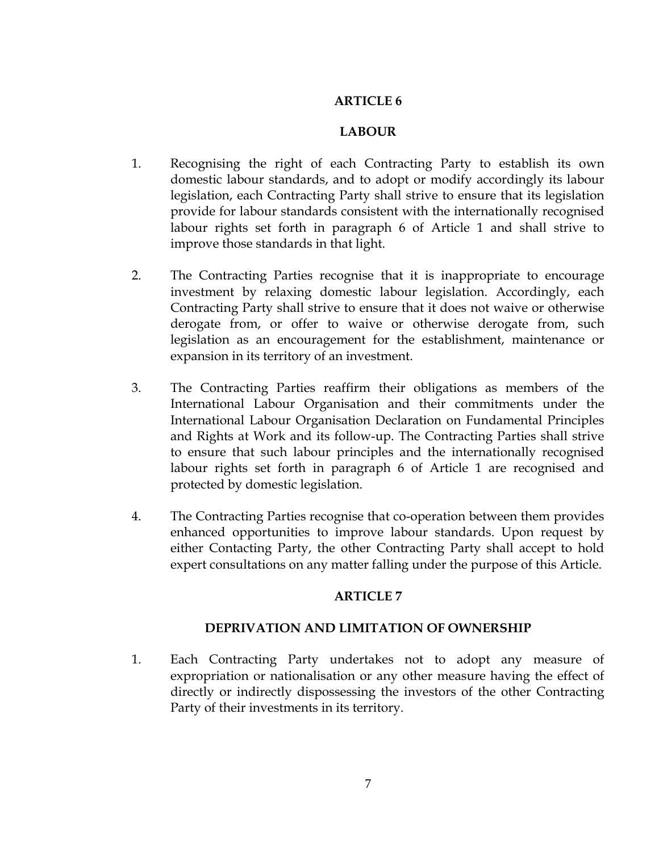## **LABOUR**

- 1. Recognising the right of each Contracting Party to establish its own domestic labour standards, and to adopt or modify accordingly its labour legislation, each Contracting Party shall strive to ensure that its legislation provide for labour standards consistent with the internationally recognised labour rights set forth in paragraph 6 of Article 1 and shall strive to improve those standards in that light.
- 2. The Contracting Parties recognise that it is inappropriate to encourage investment by relaxing domestic labour legislation. Accordingly, each Contracting Party shall strive to ensure that it does not waive or otherwise derogate from, or offer to waive or otherwise derogate from, such legislation as an encouragement for the establishment, maintenance or expansion in its territory of an investment.
- 3. The Contracting Parties reaffirm their obligations as members of the International Labour Organisation and their commitments under the International Labour Organisation Declaration on Fundamental Principles and Rights at Work and its follow-up. The Contracting Parties shall strive to ensure that such labour principles and the internationally recognised labour rights set forth in paragraph 6 of Article 1 are recognised and protected by domestic legislation.
- 4. The Contracting Parties recognise that co-operation between them provides enhanced opportunities to improve labour standards. Upon request by either Contacting Party, the other Contracting Party shall accept to hold expert consultations on any matter falling under the purpose of this Article.

## **ARTICLE 7**

## **DEPRIVATION AND LIMITATION OF OWNERSHIP**

1. Each Contracting Party undertakes not to adopt any measure of expropriation or nationalisation or any other measure having the effect of directly or indirectly dispossessing the investors of the other Contracting Party of their investments in its territory.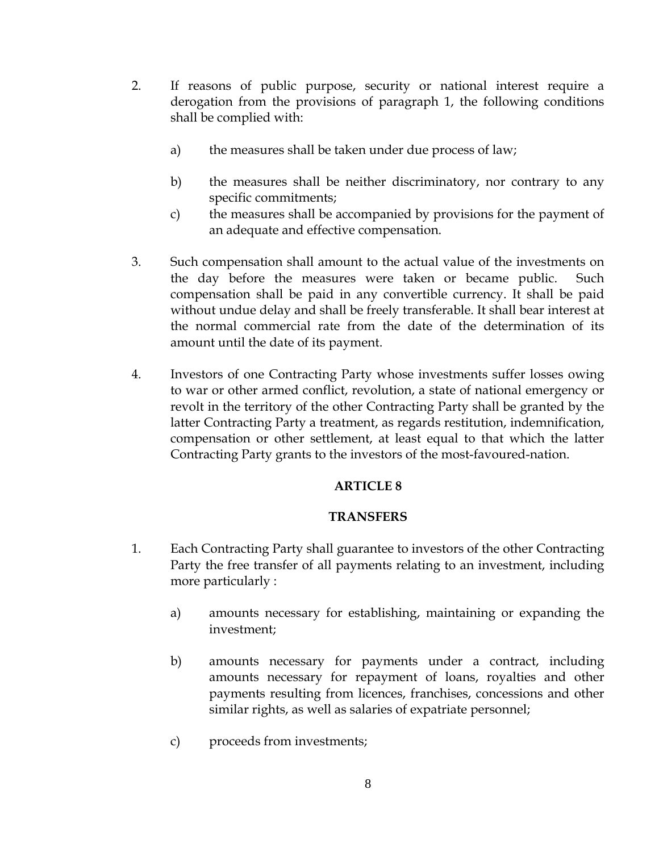- 2. If reasons of public purpose, security or national interest require a derogation from the provisions of paragraph 1, the following conditions shall be complied with:
	- a) the measures shall be taken under due process of law;
	- b) the measures shall be neither discriminatory, nor contrary to any specific commitments;
	- c) the measures shall be accompanied by provisions for the payment of an adequate and effective compensation.
- 3. Such compensation shall amount to the actual value of the investments on the day before the measures were taken or became public. Such compensation shall be paid in any convertible currency. It shall be paid without undue delay and shall be freely transferable. It shall bear interest at the normal commercial rate from the date of the determination of its amount until the date of its payment.
- 4. Investors of one Contracting Party whose investments suffer losses owing to war or other armed conflict, revolution, a state of national emergency or revolt in the territory of the other Contracting Party shall be granted by the latter Contracting Party a treatment, as regards restitution, indemnification, compensation or other settlement, at least equal to that which the latter Contracting Party grants to the investors of the most-favoured-nation.

## **TRANSFERS**

- 1. Each Contracting Party shall guarantee to investors of the other Contracting Party the free transfer of all payments relating to an investment, including more particularly :
	- a) amounts necessary for establishing, maintaining or expanding the investment;
	- b) amounts necessary for payments under a contract, including amounts necessary for repayment of loans, royalties and other payments resulting from licences, franchises, concessions and other similar rights, as well as salaries of expatriate personnel;
	- c) proceeds from investments;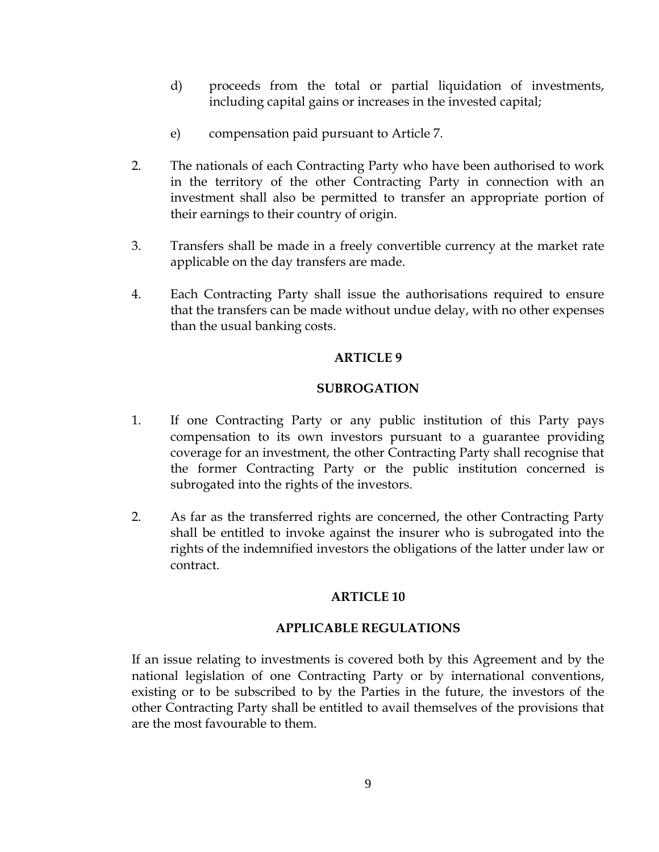- d) proceeds from the total or partial liquidation of investments, including capital gains or increases in the invested capital;
- e) compensation paid pursuant to Article 7.
- 2. The nationals of each Contracting Party who have been authorised to work in the territory of the other Contracting Party in connection with an investment shall also be permitted to transfer an appropriate portion of their earnings to their country of origin.
- 3. Transfers shall be made in a freely convertible currency at the market rate applicable on the day transfers are made.
- 4. Each Contracting Party shall issue the authorisations required to ensure that the transfers can be made without undue delay, with no other expenses than the usual banking costs.

## **SUBROGATION**

- 1. If one Contracting Party or any public institution of this Party pays compensation to its own investors pursuant to a guarantee providing coverage for an investment, the other Contracting Party shall recognise that the former Contracting Party or the public institution concerned is subrogated into the rights of the investors.
- 2. As far as the transferred rights are concerned, the other Contracting Party shall be entitled to invoke against the insurer who is subrogated into the rights of the indemnified investors the obligations of the latter under law or contract.

## **ARTICLE 10**

## **APPLICABLE REGULATIONS**

If an issue relating to investments is covered both by this Agreement and by the national legislation of one Contracting Party or by international conventions, existing or to be subscribed to by the Parties in the future, the investors of the other Contracting Party shall be entitled to avail themselves of the provisions that are the most favourable to them.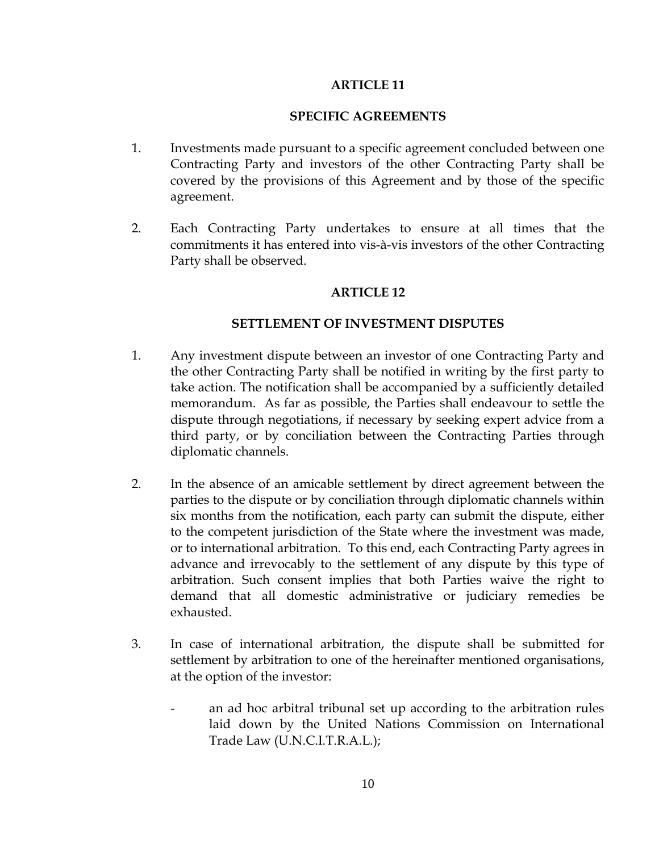## **SPECIFIC AGREEMENTS**

- 1. Investments made pursuant to a specific agreement concluded between one Contracting Party and investors of the other Contracting Party shall be covered by the provisions of this Agreement and by those of the specific agreement.
- 2. Each Contracting Party undertakes to ensure at all times that the commitments it has entered into vis-à-vis investors of the other Contracting Party shall be observed.

## **ARTICLE 12**

## **SETTLEMENT OF INVESTMENT DISPUTES**

- 1. Any investment dispute between an investor of one Contracting Party and the other Contracting Party shall be notified in writing by the first party to take action. The notification shall be accompanied by a sufficiently detailed memorandum. As far as possible, the Parties shall endeavour to settle the dispute through negotiations, if necessary by seeking expert advice from a third party, or by conciliation between the Contracting Parties through diplomatic channels.
- 2. In the absence of an amicable settlement by direct agreement between the parties to the dispute or by conciliation through diplomatic channels within six months from the notification, each party can submit the dispute, either to the competent jurisdiction of the State where the investment was made, or to international arbitration. To this end, each Contracting Party agrees in advance and irrevocably to the settlement of any dispute by this type of arbitration. Such consent implies that both Parties waive the right to demand that all domestic administrative or judiciary remedies be exhausted.
- 3. In case of international arbitration, the dispute shall be submitted for settlement by arbitration to one of the hereinafter mentioned organisations, at the option of the investor:
	- an ad hoc arbitral tribunal set up according to the arbitration rules laid down by the United Nations Commission on International Trade Law (U.N.C.I.T.R.A.L.);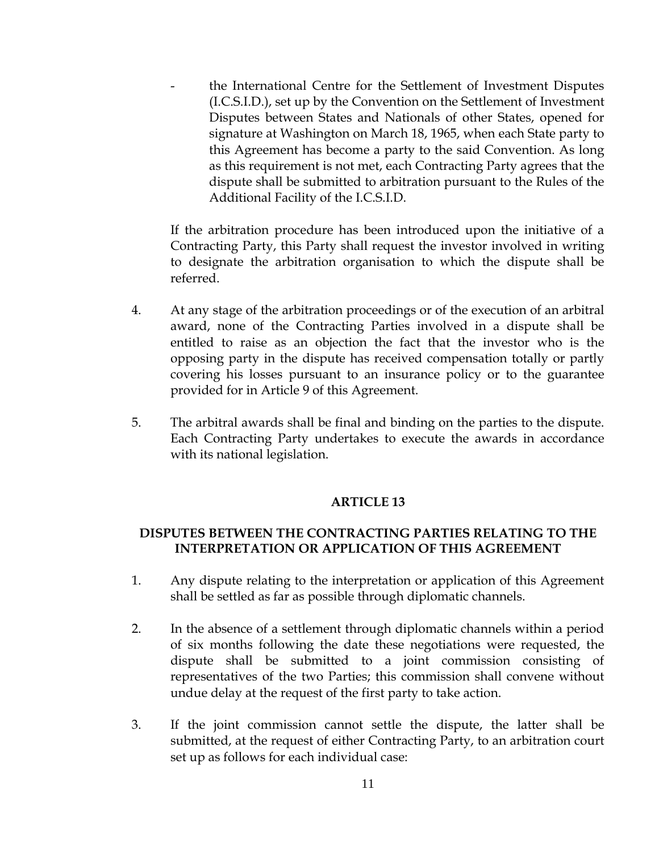the International Centre for the Settlement of Investment Disputes (I.C.S.I.D.), set up by the Convention on the Settlement of Investment Disputes between States and Nationals of other States, opened for signature at Washington on March 18, 1965, when each State party to this Agreement has become a party to the said Convention. As long as this requirement is not met, each Contracting Party agrees that the dispute shall be submitted to arbitration pursuant to the Rules of the Additional Facility of the I.C.S.I.D.

 If the arbitration procedure has been introduced upon the initiative of a Contracting Party, this Party shall request the investor involved in writing to designate the arbitration organisation to which the dispute shall be referred.

- 4. At any stage of the arbitration proceedings or of the execution of an arbitral award, none of the Contracting Parties involved in a dispute shall be entitled to raise as an objection the fact that the investor who is the opposing party in the dispute has received compensation totally or partly covering his losses pursuant to an insurance policy or to the guarantee provided for in Article 9 of this Agreement.
- 5. The arbitral awards shall be final and binding on the parties to the dispute. Each Contracting Party undertakes to execute the awards in accordance with its national legislation.

## **ARTICLE 13**

# **DISPUTES BETWEEN THE CONTRACTING PARTIES RELATING TO THE INTERPRETATION OR APPLICATION OF THIS AGREEMENT**

- 1. Any dispute relating to the interpretation or application of this Agreement shall be settled as far as possible through diplomatic channels.
- 2. In the absence of a settlement through diplomatic channels within a period of six months following the date these negotiations were requested, the dispute shall be submitted to a joint commission consisting of representatives of the two Parties; this commission shall convene without undue delay at the request of the first party to take action.
- 3. If the joint commission cannot settle the dispute, the latter shall be submitted, at the request of either Contracting Party, to an arbitration court set up as follows for each individual case: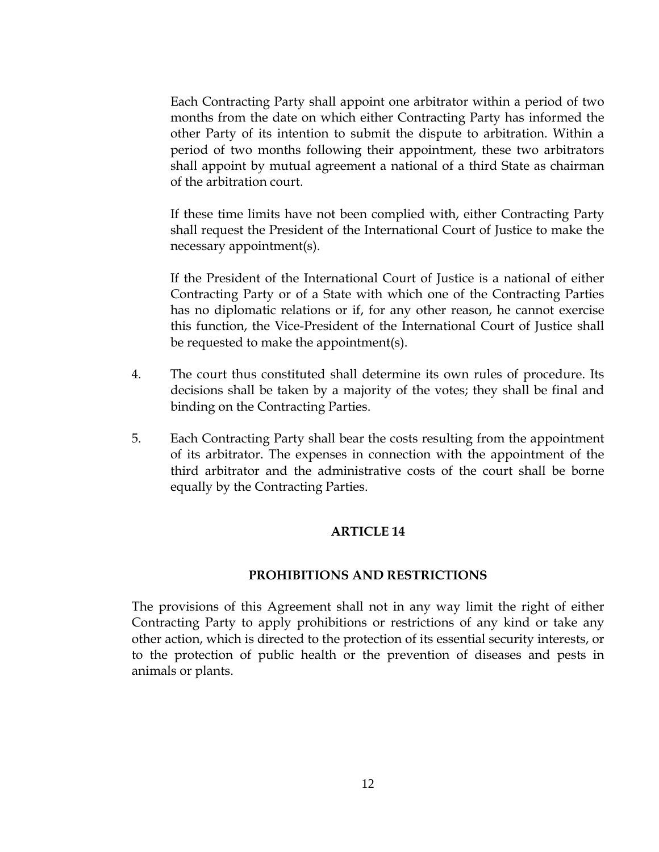Each Contracting Party shall appoint one arbitrator within a period of two months from the date on which either Contracting Party has informed the other Party of its intention to submit the dispute to arbitration. Within a period of two months following their appointment, these two arbitrators shall appoint by mutual agreement a national of a third State as chairman of the arbitration court.

If these time limits have not been complied with, either Contracting Party shall request the President of the International Court of Justice to make the necessary appointment(s).

If the President of the International Court of Justice is a national of either Contracting Party or of a State with which one of the Contracting Parties has no diplomatic relations or if, for any other reason, he cannot exercise this function, the Vice-President of the International Court of Justice shall be requested to make the appointment(s).

- 4. The court thus constituted shall determine its own rules of procedure. Its decisions shall be taken by a majority of the votes; they shall be final and binding on the Contracting Parties.
- 5. Each Contracting Party shall bear the costs resulting from the appointment of its arbitrator. The expenses in connection with the appointment of the third arbitrator and the administrative costs of the court shall be borne equally by the Contracting Parties.

## **ARTICLE 14**

#### **PROHIBITIONS AND RESTRICTIONS**

The provisions of this Agreement shall not in any way limit the right of either Contracting Party to apply prohibitions or restrictions of any kind or take any other action, which is directed to the protection of its essential security interests, or to the protection of public health or the prevention of diseases and pests in animals or plants.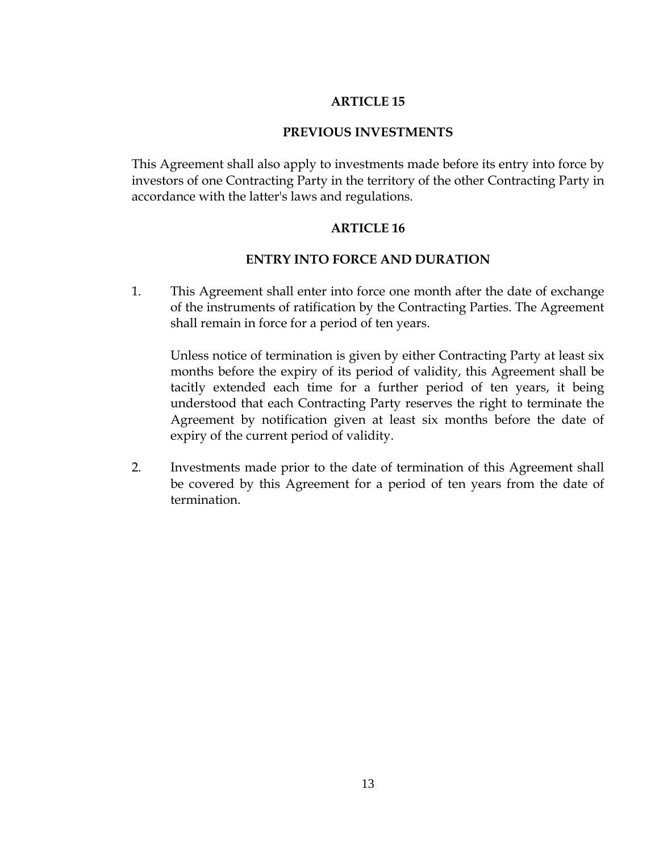#### **PREVIOUS INVESTMENTS**

This Agreement shall also apply to investments made before its entry into force by investors of one Contracting Party in the territory of the other Contracting Party in accordance with the latter's laws and regulations.

#### **ARTICLE 16**

#### **ENTRY INTO FORCE AND DURATION**

1. This Agreement shall enter into force one month after the date of exchange of the instruments of ratification by the Contracting Parties. The Agreement shall remain in force for a period of ten years.

 Unless notice of termination is given by either Contracting Party at least six months before the expiry of its period of validity, this Agreement shall be tacitly extended each time for a further period of ten years, it being understood that each Contracting Party reserves the right to terminate the Agreement by notification given at least six months before the date of expiry of the current period of validity.

2. Investments made prior to the date of termination of this Agreement shall be covered by this Agreement for a period of ten years from the date of termination.